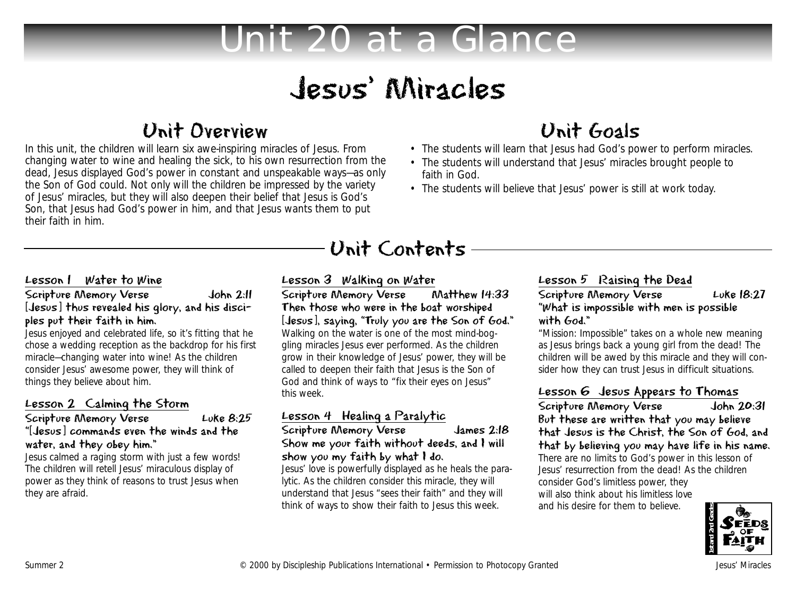# Unit 20 at a Glance

# Jesus' Miracles

## Unit Overview

In this unit, the children will learn six awe-inspiring miracles of Jesus. From changing water to wine and healing the sick, to his own resurrection from the dead, Jesus displayed God's power in constant and unspeakable ways—as only the Son of God could. Not only will the children be impressed by the variety of Jesus' miracles, but they will also deepen their belief that Jesus is God's Son, that Jesus had God's power in him, and that Jesus wants them to put their faith in him.

## Unit Goals

- The students will learn that Jesus had God's power to perform miracles.
- The students will understand that Jesus' miracles brought people to faith in God.
- The students will believe that Jesus' power is still at work today.

#### Lesson 1 Water to Wine

#### Scripture Memory Verse John 2:11 [Jesus] thus revealed his glory, and his disciples put their faith in him.

Jesus enjoyed and celebrated life, so it's fitting that he chose a wedding reception as the backdrop for his first miracle—changing water into wine! As the children consider Jesus' awesome power, they will think of things they believe about him.

#### Lesson 2 Calming the Storm

#### Scripture Memory Verse Luke 8:25 "[Jesus] commands even the winds and the water, and they obey him."

Jesus calmed a raging storm with just a few words! The children will retell Jesus' miraculous display of power as they think of reasons to trust Jesus when they are afraid.

Lesson 3 Walking on Water<br>Scripture Memory Verse Matthew 14:33 Scripture Memory Verse Then those who were in the boat worshiped [Jesus], saying, "Truly you are the Son of God." Walking on the water is one of the most mind-boggling miracles Jesus ever performed. As the children grow in their knowledge of Jesus' power, they will be called to deepen their faith that Jesus is the Son of God and think of ways to "fix their eyes on Jesus" this week.

Unit Contents

### Lesson 4 Healing a Paralytic

Scripture Memory Verse James 2:18 Show me your faith without deeds, and I will show you my faith by what I do.

Jesus' love is powerfully displayed as he heals the paralytic. As the children consider this miracle, they will understand that Jesus "sees their faith" and they will think of ways to show their faith to Jesus this week.

### Lesson 5 Raising the Dead

#### Scripture Memory Verse Luke 18:27 "What is impossible with men is possible with God."

"Mission: Impossible" takes on a whole new meaning as Jesus brings back a young girl from the dead! The children will be awed by this miracle and they will consider how they can trust Jesus in difficult situations.

Lesson 6 Jesus Appears to Thomas<br>Scripture Memory Verse John 20:31 Scripture Memory Verse But these are written that you may believe that Jesus is the Christ, the Son of God, and that by believing you may have life in his name. There are no limits to God's power in this lesson of Jesus' resurrection from the dead! As the children consider God's limitless power, they will also think about his limitless love and his desire for them to believe.